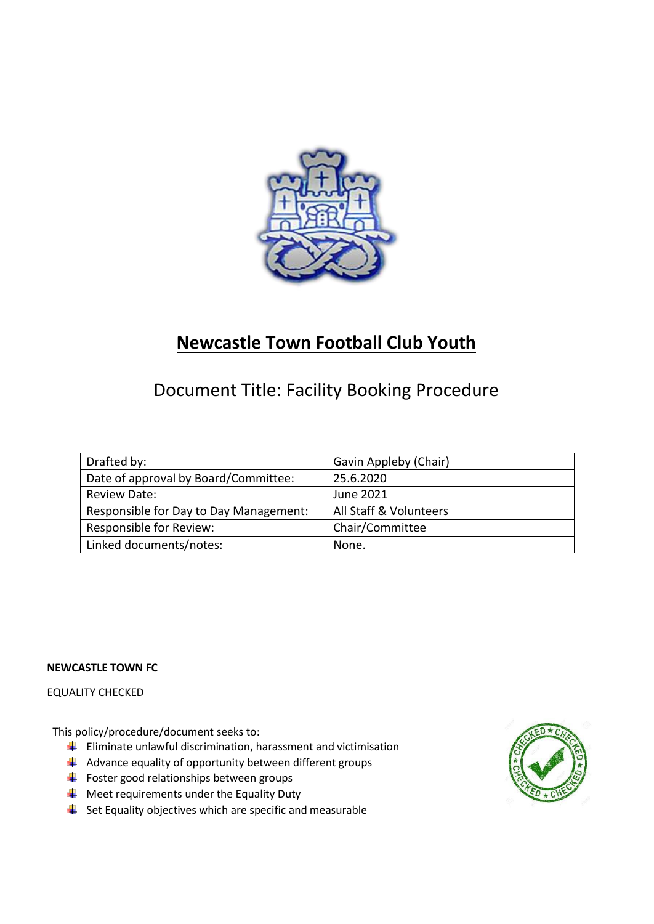

# **Newcastle Town Football Club Youth**

# Document Title: Facility Booking Procedure

| Drafted by:                            | Gavin Appleby (Chair)  |
|----------------------------------------|------------------------|
| Date of approval by Board/Committee:   | 25.6.2020              |
| <b>Review Date:</b>                    | June 2021              |
| Responsible for Day to Day Management: | All Staff & Volunteers |
| Responsible for Review:                | Chair/Committee        |
| Linked documents/notes:                | None.                  |

### **NEWCASTLE TOWN FC**

## EQUALITY CHECKED

This policy/procedure/document seeks to:

- $\frac{1}{\sqrt{2}}$  Eliminate unlawful discrimination, harassment and victimisation
- $\downarrow$  Advance equality of opportunity between different groups
- $\bigstar$  Foster good relationships between groups
- $\triangleq$  Meet requirements under the Equality Duty
- $\frac{1}{2}$  Set Equality objectives which are specific and measurable

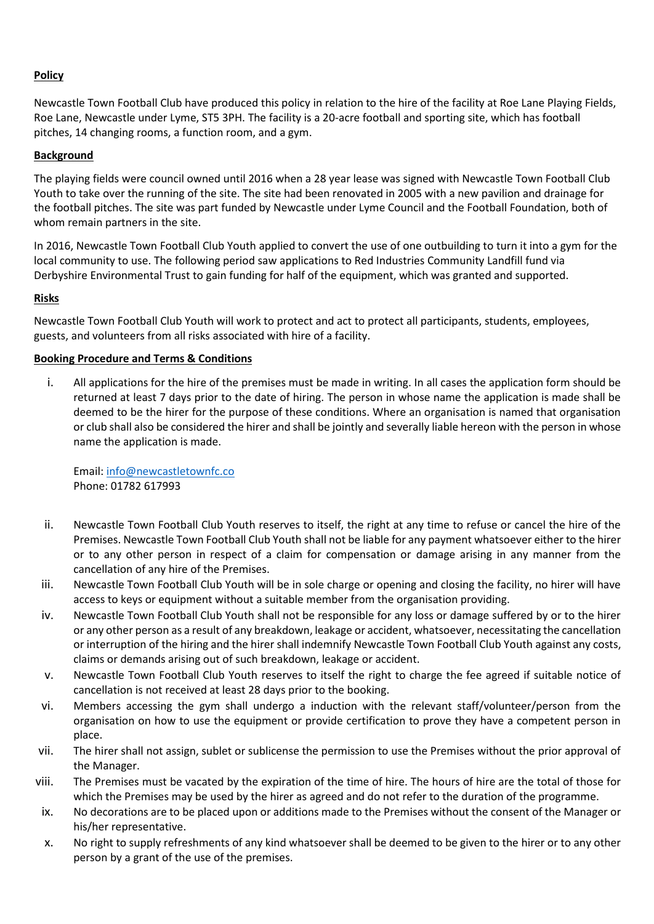### **Policy**

Newcastle Town Football Club have produced this policy in relation to the hire of the facility at Roe Lane Playing Fields, Roe Lane, Newcastle under Lyme, ST5 3PH. The facility is a 20-acre football and sporting site, which has football pitches, 14 changing rooms, a function room, and a gym.

### **Background**

The playing fields were council owned until 2016 when a 28 year lease was signed with Newcastle Town Football Club Youth to take over the running of the site. The site had been renovated in 2005 with a new pavilion and drainage for the football pitches. The site was part funded by Newcastle under Lyme Council and the Football Foundation, both of whom remain partners in the site.

In 2016, Newcastle Town Football Club Youth applied to convert the use of one outbuilding to turn it into a gym for the local community to use. The following period saw applications to Red Industries Community Landfill fund via Derbyshire Environmental Trust to gain funding for half of the equipment, which was granted and supported.

### **Risks**

Newcastle Town Football Club Youth will work to protect and act to protect all participants, students, employees, guests, and volunteers from all risks associated with hire of a facility.

#### **Booking Procedure and Terms & Conditions**

i. All applications for the hire of the premises must be made in writing. In all cases the application form should be returned at least 7 days prior to the date of hiring. The person in whose name the application is made shall be deemed to be the hirer for the purpose of these conditions. Where an organisation is named that organisation or club shall also be considered the hirer and shall be jointly and severally liable hereon with the person in whose name the application is made.

Email: [info@newcastletownfc.co](mailto:info@newcastletownfc.co) Phone: 01782 617993

- ii. Newcastle Town Football Club Youth reserves to itself, the right at any time to refuse or cancel the hire of the Premises. Newcastle Town Football Club Youth shall not be liable for any payment whatsoever either to the hirer or to any other person in respect of a claim for compensation or damage arising in any manner from the cancellation of any hire of the Premises.
- iii. Newcastle Town Football Club Youth will be in sole charge or opening and closing the facility, no hirer will have access to keys or equipment without a suitable member from the organisation providing.
- iv. Newcastle Town Football Club Youth shall not be responsible for any loss or damage suffered by or to the hirer or any other person as a result of any breakdown, leakage or accident, whatsoever, necessitating the cancellation or interruption of the hiring and the hirer shall indemnify Newcastle Town Football Club Youth against any costs, claims or demands arising out of such breakdown, leakage or accident.
- v. Newcastle Town Football Club Youth reserves to itself the right to charge the fee agreed if suitable notice of cancellation is not received at least 28 days prior to the booking.
- vi. Members accessing the gym shall undergo a induction with the relevant staff/volunteer/person from the organisation on how to use the equipment or provide certification to prove they have a competent person in place.
- vii. The hirer shall not assign, sublet or sublicense the permission to use the Premises without the prior approval of the Manager.
- viii. The Premises must be vacated by the expiration of the time of hire. The hours of hire are the total of those for which the Premises may be used by the hirer as agreed and do not refer to the duration of the programme.
- ix. No decorations are to be placed upon or additions made to the Premises without the consent of the Manager or his/her representative.
- x. No right to supply refreshments of any kind whatsoever shall be deemed to be given to the hirer or to any other person by a grant of the use of the premises.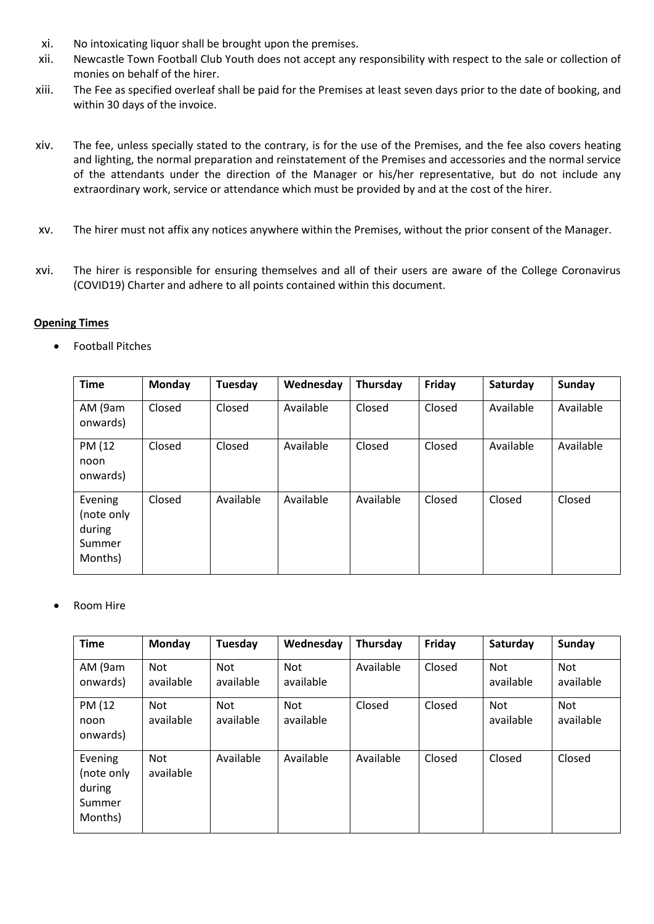- xi. No intoxicating liquor shall be brought upon the premises.
- xii. Newcastle Town Football Club Youth does not accept any responsibility with respect to the sale or collection of monies on behalf of the hirer.
- xiii. The Fee as specified overleaf shall be paid for the Premises at least seven days prior to the date of booking, and within 30 days of the invoice.
- xiv. The fee, unless specially stated to the contrary, is for the use of the Premises, and the fee also covers heating and lighting, the normal preparation and reinstatement of the Premises and accessories and the normal service of the attendants under the direction of the Manager or his/her representative, but do not include any extraordinary work, service or attendance which must be provided by and at the cost of the hirer.
- xv. The hirer must not affix any notices anywhere within the Premises, without the prior consent of the Manager.
- xvi. The hirer is responsible for ensuring themselves and all of their users are aware of the College Coronavirus (COVID19) Charter and adhere to all points contained within this document.

#### **Opening Times**

• Football Pitches

| <b>Time</b>                                          | Monday | Tuesday   | Wednesday | Thursday  | Friday | Saturday  | Sunday    |
|------------------------------------------------------|--------|-----------|-----------|-----------|--------|-----------|-----------|
| AM (9am<br>onwards)                                  | Closed | Closed    | Available | Closed    | Closed | Available | Available |
| PM (12<br>noon<br>onwards)                           | Closed | Closed    | Available | Closed    | Closed | Available | Available |
| Evening<br>(note only<br>during<br>Summer<br>Months) | Closed | Available | Available | Available | Closed | Closed    | Closed    |

• Room Hire

| <b>Time</b>                                          | <b>Monday</b>    | Tuesday                 | Wednesday               | Thursday  | Friday | Saturday                | Sunday           |
|------------------------------------------------------|------------------|-------------------------|-------------------------|-----------|--------|-------------------------|------------------|
| AM (9am<br>onwards)                                  | Not<br>available | <b>Not</b><br>available | <b>Not</b><br>available | Available | Closed | Not<br>available        | Not<br>available |
| PM (12<br>noon<br>onwards)                           | Not<br>available | <b>Not</b><br>available | Not<br>available        | Closed    | Closed | <b>Not</b><br>available | Not<br>available |
| Evening<br>(note only<br>during<br>Summer<br>Months) | Not<br>available | Available               | Available               | Available | Closed | Closed                  | Closed           |